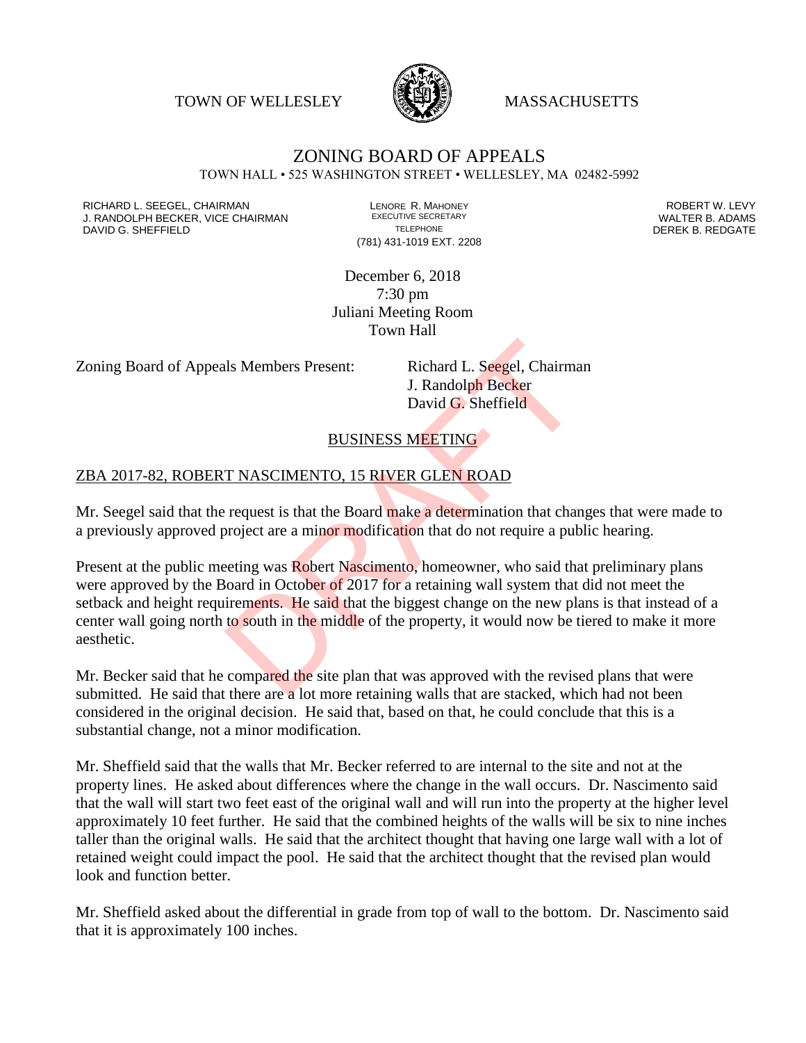TOWN OF WELLESLEY **WASSACHUSETTS** 



#### ZONING BOARD OF APPEALS TOWN HALL • 525 WASHINGTON STREET • WELLESLEY, MA 02482-5992

RICHARD L. SEEGEL, CHAIRMAN LENORE R. MAHONEY ROBERT W. LEVY J. RANDOLPH BECKER, VICE CHAIRMAN EXECUTIVE SECRETARY THE SANDOLPH BECKER B. ADAMS<br>DAVID G. SHEFFIELD DEREK B. REDGATE DAVID G. SHEFFIELD

(781) 431-1019 EXT. 2208

December 6, 2018 7:30 pm Juliani Meeting Room Town Hall

Zoning Board of Appeals Members Present: Richard L. Seegel, Chairman

J. Randolph Becker David G. Sheffield

BUSINESS MEETING

#### ZBA 2017-82, ROBERT NASCIMENTO, 15 RIVER GLEN ROAD

Mr. Seegel said that the request is that the Board make a determination that changes that were made to a previously approved project are a minor modification that do not require a public hearing.

Present at the public meeting was Robert Nascimento, homeowner, who said that preliminary plans were approved by the Board in October of 2017 for a retaining wall system that did not meet the setback and height requirements. He said that the biggest change on the new plans is that instead of a center wall going north to south in the middle of the property, it would now be tiered to make it more aesthetic. Is Members Present:<br>
I. Richard L. Seegel, Chairma<br>
J. Randolph Becker<br>
David G. Sheffield<br>
BUSINESS MEETING<br>
T NASCIMENTO, 15 RIVER GLEN ROAD<br>
request is that the Board make a determination that chan<br>
roject are a minor m

Mr. Becker said that he compared the site plan that was approved with the revised plans that were submitted. He said that there are a lot more retaining walls that are stacked, which had not been considered in the original decision. He said that, based on that, he could conclude that this is a substantial change, not a minor modification.

Mr. Sheffield said that the walls that Mr. Becker referred to are internal to the site and not at the property lines. He asked about differences where the change in the wall occurs. Dr. Nascimento said that the wall will start two feet east of the original wall and will run into the property at the higher level approximately 10 feet further. He said that the combined heights of the walls will be six to nine inches taller than the original walls. He said that the architect thought that having one large wall with a lot of retained weight could impact the pool. He said that the architect thought that the revised plan would look and function better.

Mr. Sheffield asked about the differential in grade from top of wall to the bottom. Dr. Nascimento said that it is approximately 100 inches.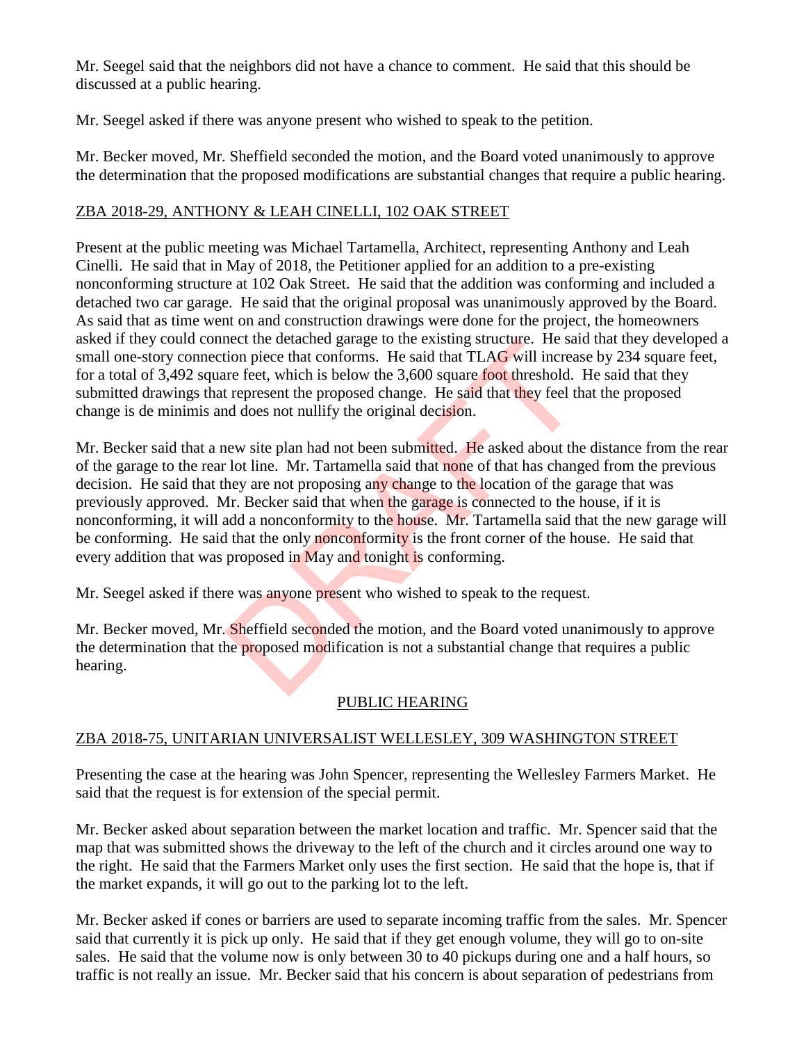Mr. Seegel said that the neighbors did not have a chance to comment. He said that this should be discussed at a public hearing.

Mr. Seegel asked if there was anyone present who wished to speak to the petition.

Mr. Becker moved, Mr. Sheffield seconded the motion, and the Board voted unanimously to approve the determination that the proposed modifications are substantial changes that require a public hearing.

## ZBA 2018-29, ANTHONY & LEAH CINELLI, 102 OAK STREET

Present at the public meeting was Michael Tartamella, Architect, representing Anthony and Leah Cinelli. He said that in May of 2018, the Petitioner applied for an addition to a pre-existing nonconforming structure at 102 Oak Street. He said that the addition was conforming and included a detached two car garage. He said that the original proposal was unanimously approved by the Board. As said that as time went on and construction drawings were done for the project, the homeowners asked if they could connect the detached garage to the existing structure. He said that they developed a small one-story connection piece that conforms. He said that TLAG will increase by 234 square feet, for a total of 3,492 square feet, which is below the 3,600 square foot threshold. He said that they submitted drawings that represent the proposed change. He said that they feel that the proposed change is de minimis and does not nullify the original decision.

Mr. Becker said that a new site plan had not been submitted. He asked about the distance from the rear of the garage to the rear lot line. Mr. Tartamella said that none of that has changed from the previous decision. He said that they are not proposing any change to the location of the garage that was previously approved. Mr. Becker said that when the garage is connected to the house, if it is nonconforming, it will add a nonconformity to the house. Mr. Tartamella said that the new garage will be conforming. He said that the only nonconformity is the front corner of the house. He said that every addition that was proposed in May and tonight is conforming. meet the deached garage to the existing structure. He saft<br>tion piece that conforms. He said that TLAG will increas<br>tre feet, which is below the 3,600 square foot threshold.<br>t represent the proposed change. He said that th

Mr. Seegel asked if there was anyone present who wished to speak to the request.

Mr. Becker moved, Mr. Sheffield seconded the motion, and the Board voted unanimously to approve the determination that the proposed modification is not a substantial change that requires a public hearing.

# PUBLIC HEARING

### ZBA 2018-75, UNITARIAN UNIVERSALIST WELLESLEY, 309 WASHINGTON STREET

Presenting the case at the hearing was John Spencer, representing the Wellesley Farmers Market. He said that the request is for extension of the special permit.

Mr. Becker asked about separation between the market location and traffic. Mr. Spencer said that the map that was submitted shows the driveway to the left of the church and it circles around one way to the right. He said that the Farmers Market only uses the first section. He said that the hope is, that if the market expands, it will go out to the parking lot to the left.

Mr. Becker asked if cones or barriers are used to separate incoming traffic from the sales. Mr. Spencer said that currently it is pick up only. He said that if they get enough volume, they will go to on-site sales. He said that the volume now is only between 30 to 40 pickups during one and a half hours, so traffic is not really an issue. Mr. Becker said that his concern is about separation of pedestrians from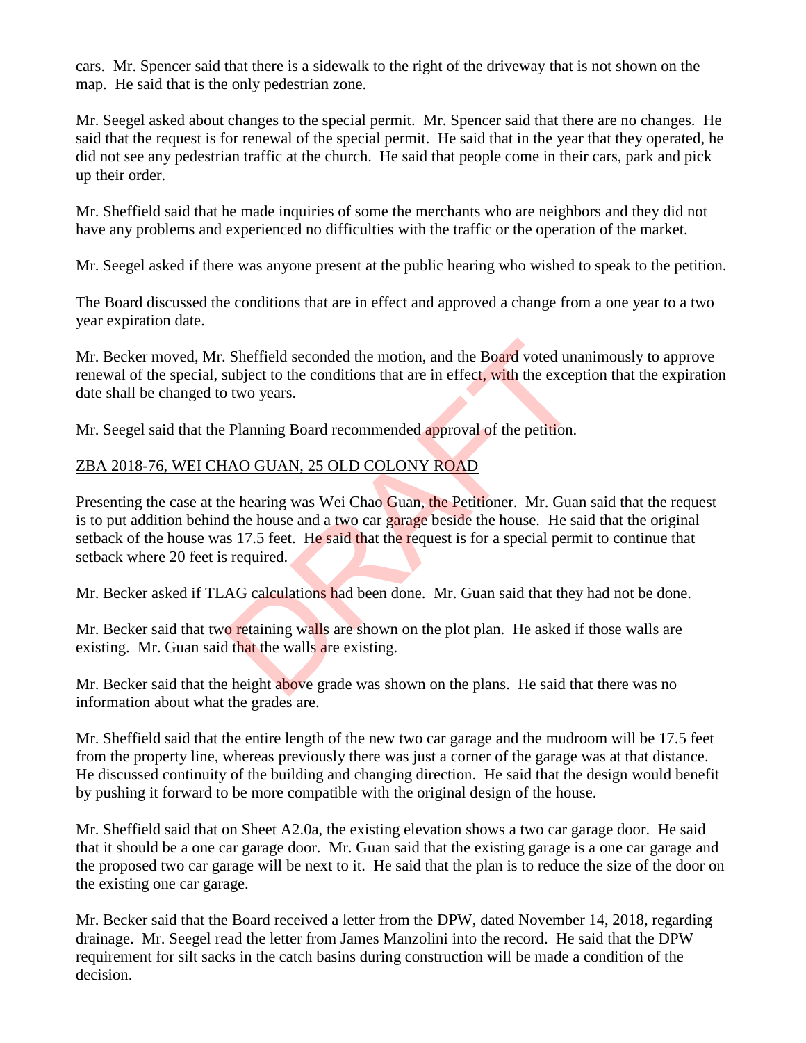cars. Mr. Spencer said that there is a sidewalk to the right of the driveway that is not shown on the map. He said that is the only pedestrian zone.

Mr. Seegel asked about changes to the special permit. Mr. Spencer said that there are no changes. He said that the request is for renewal of the special permit. He said that in the year that they operated, he did not see any pedestrian traffic at the church. He said that people come in their cars, park and pick up their order.

Mr. Sheffield said that he made inquiries of some the merchants who are neighbors and they did not have any problems and experienced no difficulties with the traffic or the operation of the market.

Mr. Seegel asked if there was anyone present at the public hearing who wished to speak to the petition.

The Board discussed the conditions that are in effect and approved a change from a one year to a two year expiration date.

Mr. Becker moved, Mr. Sheffield seconded the motion, and the Board voted unanimously to approve renewal of the special, subject to the conditions that are in effect, with the exception that the expiration date shall be changed to two years.

Mr. Seegel said that the Planning Board recommended approval of the petition.

### ZBA 2018-76, WEI CHAO GUAN, 25 OLD COLONY ROAD

Presenting the case at the hearing was Wei Chao Guan, the Petitioner. Mr. Guan said that the request is to put addition behind the house and a two car garage beside the house. He said that the original setback of the house was 17.5 feet. He said that the request is for a special permit to continue that setback where 20 feet is required. Sheffield seconded the motion, and the Board voted una<br>subject to the conditions that are in effect, with the excep<br>two years.<br>Planning Board recommended approval of the petition.<br>IAO GUAN, 25 OLD COLONY ROAD<br>ne hearing wa

Mr. Becker asked if TLAG calculations had been done. Mr. Guan said that they had not be done.

Mr. Becker said that two retaining walls are shown on the plot plan. He asked if those walls are existing. Mr. Guan said that the walls are existing.

Mr. Becker said that the height above grade was shown on the plans. He said that there was no information about what the grades are.

Mr. Sheffield said that the entire length of the new two car garage and the mudroom will be 17.5 feet from the property line, whereas previously there was just a corner of the garage was at that distance. He discussed continuity of the building and changing direction. He said that the design would benefit by pushing it forward to be more compatible with the original design of the house.

Mr. Sheffield said that on Sheet A2.0a, the existing elevation shows a two car garage door. He said that it should be a one car garage door. Mr. Guan said that the existing garage is a one car garage and the proposed two car garage will be next to it. He said that the plan is to reduce the size of the door on the existing one car garage.

Mr. Becker said that the Board received a letter from the DPW, dated November 14, 2018, regarding drainage. Mr. Seegel read the letter from James Manzolini into the record. He said that the DPW requirement for silt sacks in the catch basins during construction will be made a condition of the decision.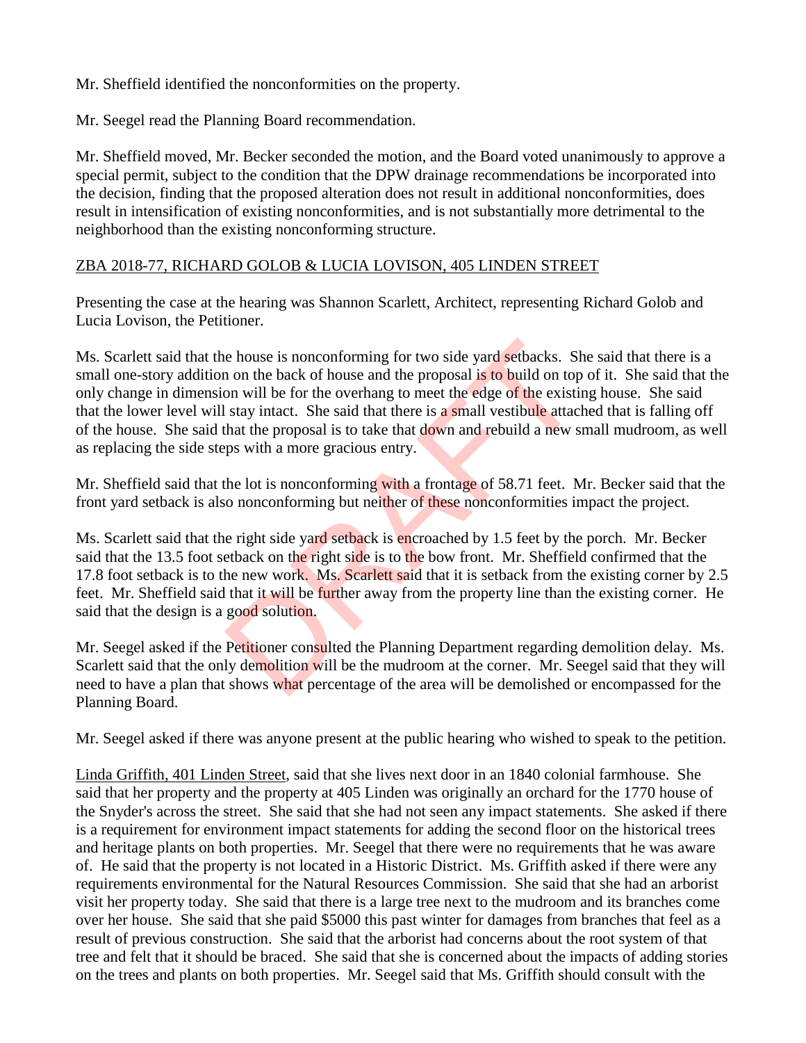Mr. Sheffield identified the nonconformities on the property.

Mr. Seegel read the Planning Board recommendation.

Mr. Sheffield moved, Mr. Becker seconded the motion, and the Board voted unanimously to approve a special permit, subject to the condition that the DPW drainage recommendations be incorporated into the decision, finding that the proposed alteration does not result in additional nonconformities, does result in intensification of existing nonconformities, and is not substantially more detrimental to the neighborhood than the existing nonconforming structure.

#### ZBA 2018-77, RICHARD GOLOB & LUCIA LOVISON, 405 LINDEN STREET

Presenting the case at the hearing was Shannon Scarlett, Architect, representing Richard Golob and Lucia Lovison, the Petitioner.

Ms. Scarlett said that the house is nonconforming for two side yard setbacks. She said that there is a small one-story addition on the back of house and the proposal is to build on top of it. She said that the only change in dimension will be for the overhang to meet the edge of the existing house. She said that the lower level will stay intact. She said that there is a small vestibule attached that is falling off of the house. She said that the proposal is to take that down and rebuild a new small mudroom, as well as replacing the side steps with a more gracious entry. e house is nonconforming for two side yard setbacks. Sh<br>a on the back of house and the proposal is to build on top<br>on will be for the overhang to meet the edge of the existit<br>stay intact. She said that there is a small ves

Mr. Sheffield said that the lot is nonconforming with a frontage of 58.71 feet. Mr. Becker said that the front yard setback is also nonconforming but neither of these nonconformities impact the project.

Ms. Scarlett said that the right side yard setback is encroached by 1.5 feet by the porch. Mr. Becker said that the 13.5 foot setback on the right side is to the bow front. Mr. Sheffield confirmed that the 17.8 foot setback is to the new work. Ms. Scarlett said that it is setback from the existing corner by 2.5 feet. Mr. Sheffield said that it will be further away from the property line than the existing corner. He said that the design is a good solution.

Mr. Seegel asked if the Petitioner consulted the Planning Department regarding demolition delay. Ms. Scarlett said that the only demolition will be the mudroom at the corner. Mr. Seegel said that they will need to have a plan that shows what percentage of the area will be demolished or encompassed for the Planning Board.

Mr. Seegel asked if there was anyone present at the public hearing who wished to speak to the petition.

Linda Griffith, 401 Linden Street, said that she lives next door in an 1840 colonial farmhouse. She said that her property and the property at 405 Linden was originally an orchard for the 1770 house of the Snyder's across the street. She said that she had not seen any impact statements. She asked if there is a requirement for environment impact statements for adding the second floor on the historical trees and heritage plants on both properties. Mr. Seegel that there were no requirements that he was aware of. He said that the property is not located in a Historic District. Ms. Griffith asked if there were any requirements environmental for the Natural Resources Commission. She said that she had an arborist visit her property today. She said that there is a large tree next to the mudroom and its branches come over her house. She said that she paid \$5000 this past winter for damages from branches that feel as a result of previous construction. She said that the arborist had concerns about the root system of that tree and felt that it should be braced. She said that she is concerned about the impacts of adding stories on the trees and plants on both properties. Mr. Seegel said that Ms. Griffith should consult with the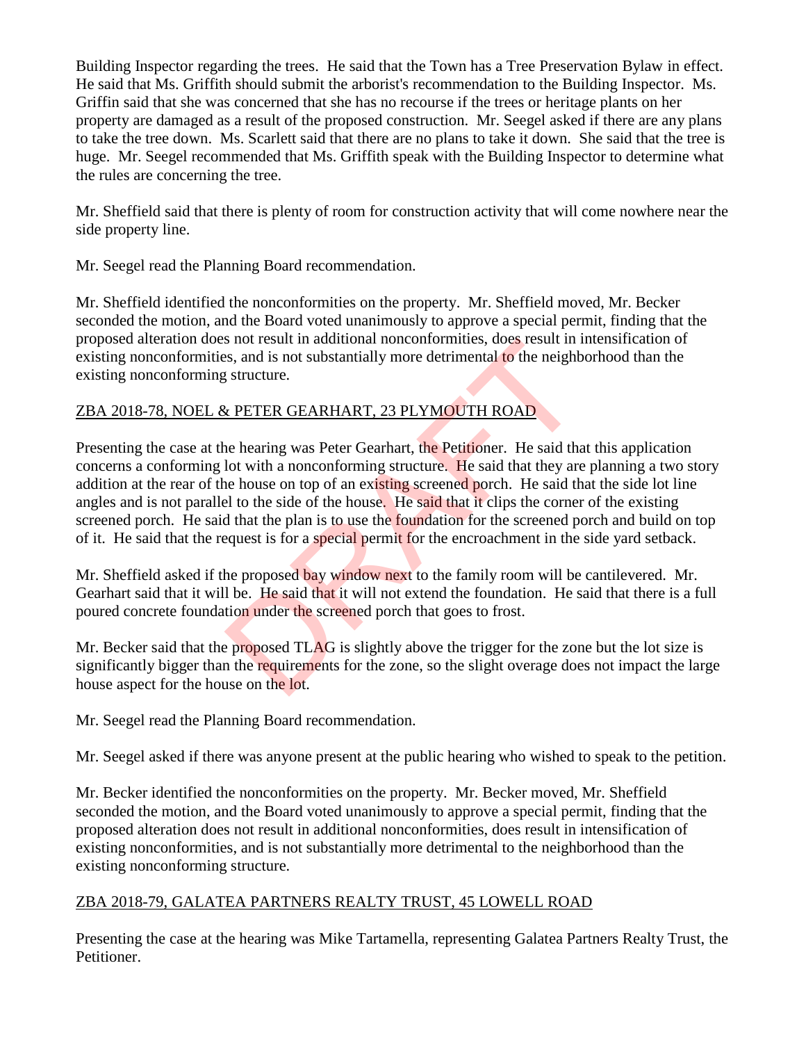Building Inspector regarding the trees. He said that the Town has a Tree Preservation Bylaw in effect. He said that Ms. Griffith should submit the arborist's recommendation to the Building Inspector. Ms. Griffin said that she was concerned that she has no recourse if the trees or heritage plants on her property are damaged as a result of the proposed construction. Mr. Seegel asked if there are any plans to take the tree down. Ms. Scarlett said that there are no plans to take it down. She said that the tree is huge. Mr. Seegel recommended that Ms. Griffith speak with the Building Inspector to determine what the rules are concerning the tree.

Mr. Sheffield said that there is plenty of room for construction activity that will come nowhere near the side property line.

Mr. Seegel read the Planning Board recommendation.

Mr. Sheffield identified the nonconformities on the property. Mr. Sheffield moved, Mr. Becker seconded the motion, and the Board voted unanimously to approve a special permit, finding that the proposed alteration does not result in additional nonconformities, does result in intensification of existing nonconformities, and is not substantially more detrimental to the neighborhood than the existing nonconforming structure.

### ZBA 2018-78, NOEL & PETER GEARHART, 23 PLYMOUTH ROAD

Presenting the case at the hearing was Peter Gearhart, the Petitioner. He said that this application concerns a conforming lot with a nonconforming structure. He said that they are planning a two story addition at the rear of the house on top of an existing screened porch. He said that the side lot line angles and is not parallel to the side of the house. He said that it clips the corner of the existing screened porch. He said that the plan is to use the foundation for the screened porch and build on top of it. He said that the request is for a special permit for the encroachment in the side yard setback. Solution in a and alternative method in the neighborhood is shot result in a<br>s, and is not substantially more detrimental to the neighb<br>s structure.<br> $\frac{k}{k}$  PETER GEARHART, 23 PLYMOUTH ROAD<br>ne hearing was Peter Gearhart,

Mr. Sheffield asked if the proposed bay window next to the family room will be cantilevered. Mr. Gearhart said that it will be. He said that it will not extend the foundation. He said that there is a full poured concrete foundation under the screened porch that goes to frost.

Mr. Becker said that the proposed TLAG is slightly above the trigger for the zone but the lot size is significantly bigger than the requirements for the zone, so the slight overage does not impact the large house aspect for the house on the lot.

Mr. Seegel read the Planning Board recommendation.

Mr. Seegel asked if there was anyone present at the public hearing who wished to speak to the petition.

Mr. Becker identified the nonconformities on the property. Mr. Becker moved, Mr. Sheffield seconded the motion, and the Board voted unanimously to approve a special permit, finding that the proposed alteration does not result in additional nonconformities, does result in intensification of existing nonconformities, and is not substantially more detrimental to the neighborhood than the existing nonconforming structure.

# ZBA 2018-79, GALATEA PARTNERS REALTY TRUST, 45 LOWELL ROAD

Presenting the case at the hearing was Mike Tartamella, representing Galatea Partners Realty Trust, the Petitioner.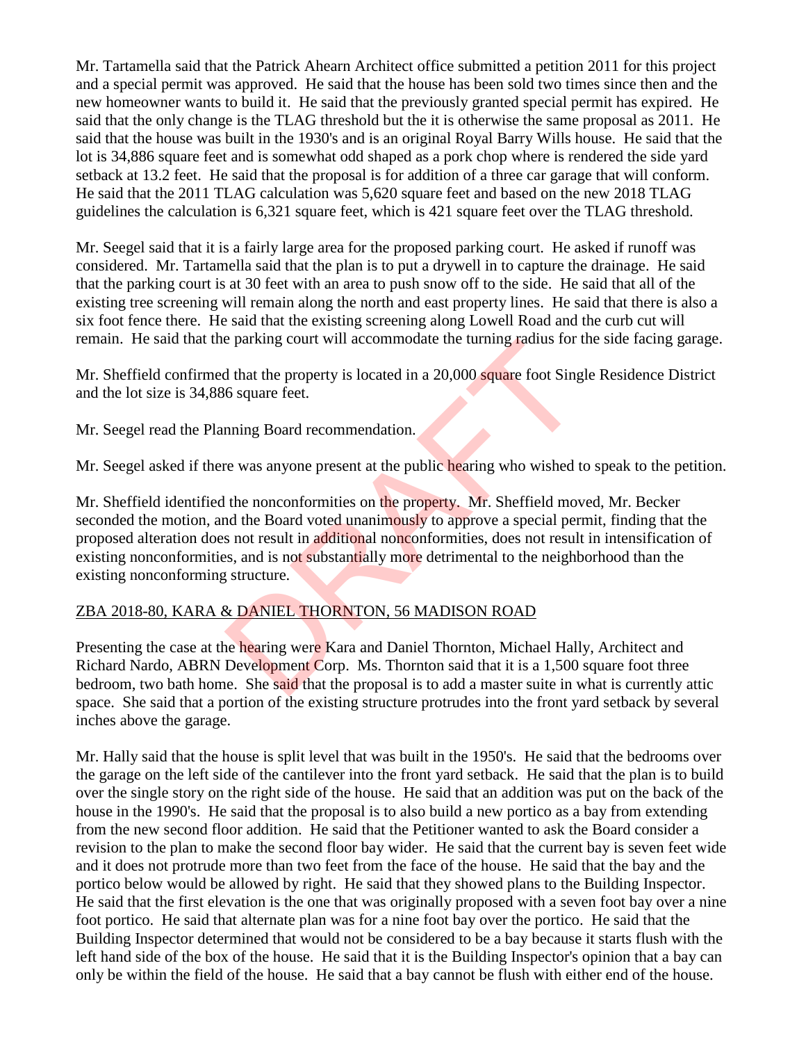Mr. Tartamella said that the Patrick Ahearn Architect office submitted a petition 2011 for this project and a special permit was approved. He said that the house has been sold two times since then and the new homeowner wants to build it. He said that the previously granted special permit has expired. He said that the only change is the TLAG threshold but the it is otherwise the same proposal as 2011. He said that the house was built in the 1930's and is an original Royal Barry Wills house. He said that the lot is 34,886 square feet and is somewhat odd shaped as a pork chop where is rendered the side yard setback at 13.2 feet. He said that the proposal is for addition of a three car garage that will conform. He said that the 2011 TLAG calculation was 5,620 square feet and based on the new 2018 TLAG guidelines the calculation is 6,321 square feet, which is 421 square feet over the TLAG threshold.

Mr. Seegel said that it is a fairly large area for the proposed parking court. He asked if runoff was considered. Mr. Tartamella said that the plan is to put a drywell in to capture the drainage. He said that the parking court is at 30 feet with an area to push snow off to the side. He said that all of the existing tree screening will remain along the north and east property lines. He said that there is also a six foot fence there. He said that the existing screening along Lowell Road and the curb cut will remain. He said that the parking court will accommodate the turning radius for the side facing garage.

Mr. Sheffield confirmed that the property is located in a 20,000 square foot Single Residence District and the lot size is 34,886 square feet.

Mr. Seegel read the Planning Board recommendation.

Mr. Seegel asked if there was anyone present at the public hearing who wished to speak to the petition.

Mr. Sheffield identified the nonconformities on the property. Mr. Sheffield moved, Mr. Becker seconded the motion, and the Board voted unanimously to approve a special permit, finding that the proposed alteration does not result in additional nonconformities, does not result in intensification of existing nonconformities, and is not substantially more detrimental to the neighborhood than the existing nonconforming structure. Example 10 and Tallin and Daniel Thornton, Michael Hall<br>
Beading were Kara and Daniel Thornton, Sheffield moved in a 20,000 square foot Sing<br>
fo square feet.<br>
The monoconformities on the property. Mr. Sheffield moved the B

#### ZBA 2018-80, KARA & DANIEL THORNTON, 56 MADISON ROAD

Presenting the case at the hearing were Kara and Daniel Thornton, Michael Hally, Architect and Richard Nardo, ABRN Development Corp. Ms. Thornton said that it is a 1,500 square foot three bedroom, two bath home. She said that the proposal is to add a master suite in what is currently attic space. She said that a portion of the existing structure protrudes into the front yard setback by several inches above the garage.

Mr. Hally said that the house is split level that was built in the 1950's. He said that the bedrooms over the garage on the left side of the cantilever into the front yard setback. He said that the plan is to build over the single story on the right side of the house. He said that an addition was put on the back of the house in the 1990's. He said that the proposal is to also build a new portico as a bay from extending from the new second floor addition. He said that the Petitioner wanted to ask the Board consider a revision to the plan to make the second floor bay wider. He said that the current bay is seven feet wide and it does not protrude more than two feet from the face of the house. He said that the bay and the portico below would be allowed by right. He said that they showed plans to the Building Inspector. He said that the first elevation is the one that was originally proposed with a seven foot bay over a nine foot portico. He said that alternate plan was for a nine foot bay over the portico. He said that the Building Inspector determined that would not be considered to be a bay because it starts flush with the left hand side of the box of the house. He said that it is the Building Inspector's opinion that a bay can only be within the field of the house. He said that a bay cannot be flush with either end of the house.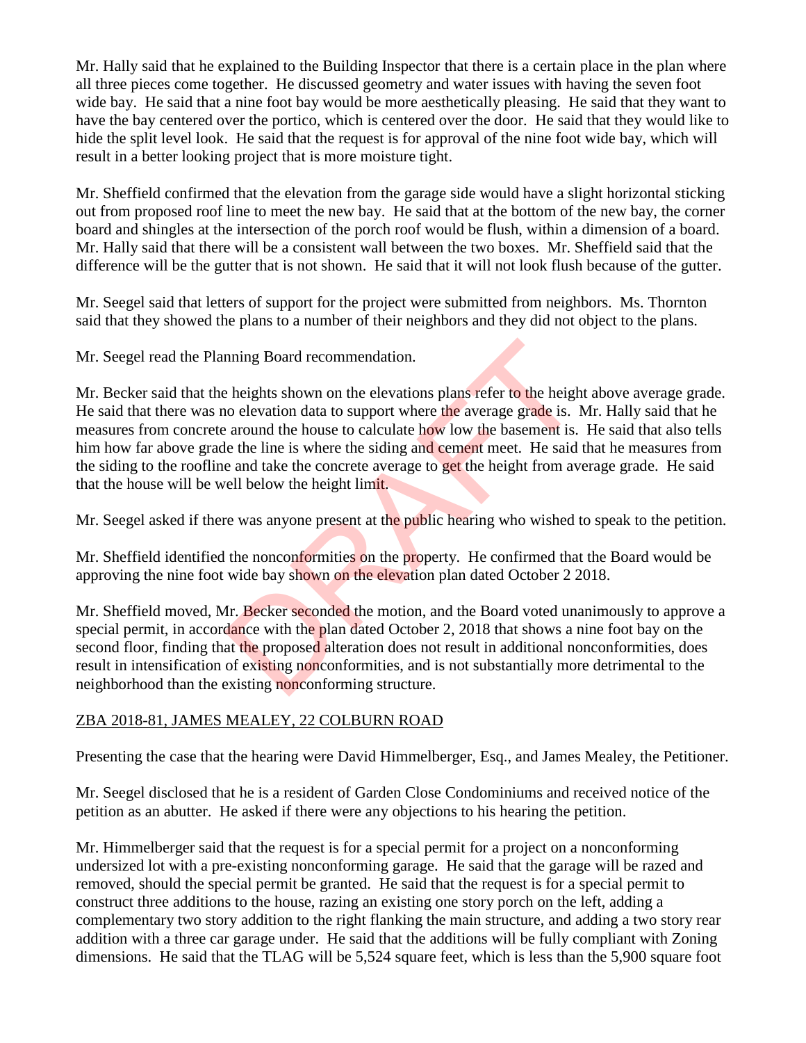Mr. Hally said that he explained to the Building Inspector that there is a certain place in the plan where all three pieces come together. He discussed geometry and water issues with having the seven foot wide bay. He said that a nine foot bay would be more aesthetically pleasing. He said that they want to have the bay centered over the portico, which is centered over the door. He said that they would like to hide the split level look. He said that the request is for approval of the nine foot wide bay, which will result in a better looking project that is more moisture tight.

Mr. Sheffield confirmed that the elevation from the garage side would have a slight horizontal sticking out from proposed roof line to meet the new bay. He said that at the bottom of the new bay, the corner board and shingles at the intersection of the porch roof would be flush, within a dimension of a board. Mr. Hally said that there will be a consistent wall between the two boxes. Mr. Sheffield said that the difference will be the gutter that is not shown. He said that it will not look flush because of the gutter.

Mr. Seegel said that letters of support for the project were submitted from neighbors. Ms. Thornton said that they showed the plans to a number of their neighbors and they did not object to the plans.

Mr. Seegel read the Planning Board recommendation.

Mr. Becker said that the heights shown on the elevations plans refer to the height above average grade. He said that there was no elevation data to support where the average grade is. Mr. Hally said that he measures from concrete around the house to calculate how low the basement is. He said that also tells him how far above grade the line is where the siding and cement meet. He said that he measures from the siding to the roofline and take the concrete average to get the height from average grade. He said that the house will be well below the height limit. nning Board recommendation.<br>
Le heights shown on the elevations plans refer to the height<br>
around the house to calculate how low the basement is.<br>
around the house to calculate how low the basement is.<br>
le the line is wher

Mr. Seegel asked if there was anyone present at the public hearing who wished to speak to the petition.

Mr. Sheffield identified the nonconformities on the property. He confirmed that the Board would be approving the nine foot wide bay shown on the elevation plan dated October 2 2018.

Mr. Sheffield moved, Mr. Becker seconded the motion, and the Board voted unanimously to approve a special permit, in accordance with the plan dated October 2, 2018 that shows a nine foot bay on the second floor, finding that the proposed alteration does not result in additional nonconformities, does result in intensification of existing nonconformities, and is not substantially more detrimental to the neighborhood than the existing nonconforming structure.

### ZBA 2018-81, JAMES MEALEY, 22 COLBURN ROAD

Presenting the case that the hearing were David Himmelberger, Esq., and James Mealey, the Petitioner.

Mr. Seegel disclosed that he is a resident of Garden Close Condominiums and received notice of the petition as an abutter. He asked if there were any objections to his hearing the petition.

Mr. Himmelberger said that the request is for a special permit for a project on a nonconforming undersized lot with a pre-existing nonconforming garage. He said that the garage will be razed and removed, should the special permit be granted. He said that the request is for a special permit to construct three additions to the house, razing an existing one story porch on the left, adding a complementary two story addition to the right flanking the main structure, and adding a two story rear addition with a three car garage under. He said that the additions will be fully compliant with Zoning dimensions. He said that the TLAG will be 5,524 square feet, which is less than the 5,900 square foot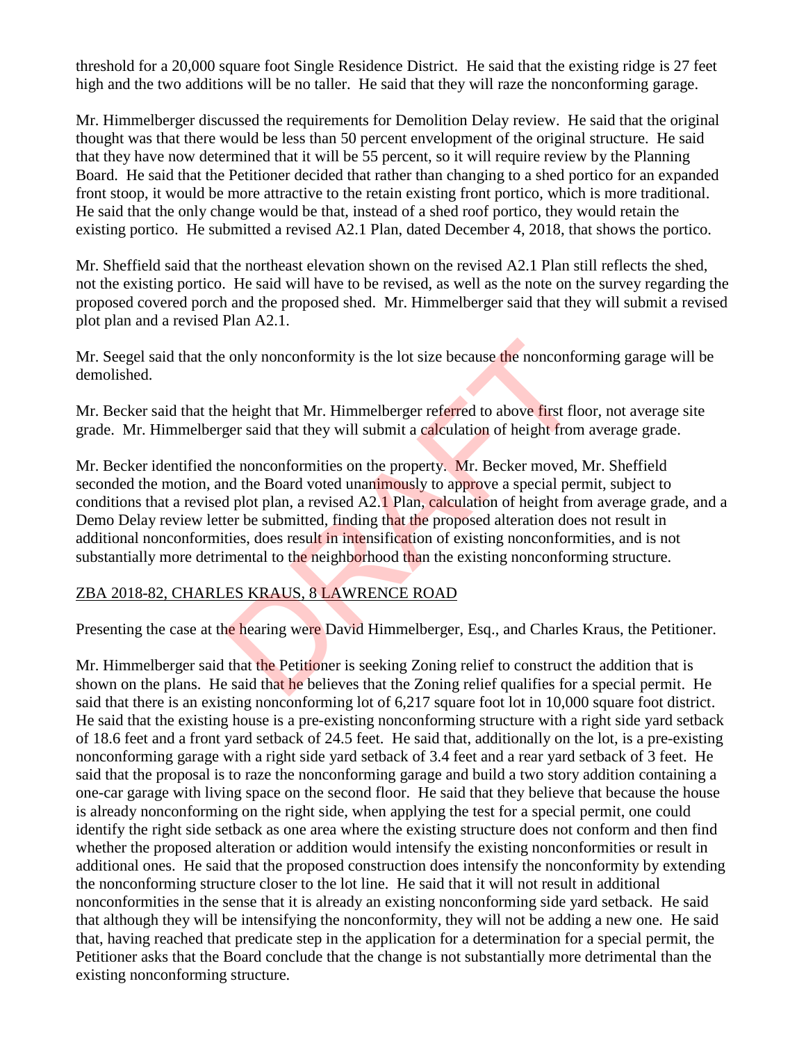threshold for a 20,000 square foot Single Residence District. He said that the existing ridge is 27 feet high and the two additions will be no taller. He said that they will raze the nonconforming garage.

Mr. Himmelberger discussed the requirements for Demolition Delay review. He said that the original thought was that there would be less than 50 percent envelopment of the original structure. He said that they have now determined that it will be 55 percent, so it will require review by the Planning Board. He said that the Petitioner decided that rather than changing to a shed portico for an expanded front stoop, it would be more attractive to the retain existing front portico, which is more traditional. He said that the only change would be that, instead of a shed roof portico, they would retain the existing portico. He submitted a revised A2.1 Plan, dated December 4, 2018, that shows the portico.

Mr. Sheffield said that the northeast elevation shown on the revised A2.1 Plan still reflects the shed, not the existing portico. He said will have to be revised, as well as the note on the survey regarding the proposed covered porch and the proposed shed. Mr. Himmelberger said that they will submit a revised plot plan and a revised Plan A2.1.

Mr. Seegel said that the only nonconformity is the lot size because the nonconforming garage will be demolished.

Mr. Becker said that the height that Mr. Himmelberger referred to above first floor, not average site grade. Mr. Himmelberger said that they will submit a calculation of height from average grade.

Mr. Becker identified the nonconformities on the property. Mr. Becker moved, Mr. Sheffield seconded the motion, and the Board voted unanimously to approve a special permit, subject to conditions that a revised plot plan, a revised A2.1 Plan, calculation of height from average grade, and a Demo Delay review letter be submitted, finding that the proposed alteration does not result in additional nonconformities, does result in intensification of existing nonconformities, and is not substantially more detrimental to the neighborhood than the existing nonconforming structure. only nonconformity is the lot size because the nonconformer and the helphot that Mr. Himmelberger referred to above first floger said that they will submit a calculation of height from the nonconformities on the property.

#### ZBA 2018-82, CHARLES KRAUS, 8 LAWRENCE ROAD

Presenting the case at the hearing were David Himmelberger, Esq., and Charles Kraus, the Petitioner.

Mr. Himmelberger said that the Petitioner is seeking Zoning relief to construct the addition that is shown on the plans. He said that he believes that the Zoning relief qualifies for a special permit. He said that there is an existing nonconforming lot of 6,217 square foot lot in 10,000 square foot district. He said that the existing house is a pre-existing nonconforming structure with a right side yard setback of 18.6 feet and a front yard setback of 24.5 feet. He said that, additionally on the lot, is a pre-existing nonconforming garage with a right side yard setback of 3.4 feet and a rear yard setback of 3 feet. He said that the proposal is to raze the nonconforming garage and build a two story addition containing a one-car garage with living space on the second floor. He said that they believe that because the house is already nonconforming on the right side, when applying the test for a special permit, one could identify the right side setback as one area where the existing structure does not conform and then find whether the proposed alteration or addition would intensify the existing nonconformities or result in additional ones. He said that the proposed construction does intensify the nonconformity by extending the nonconforming structure closer to the lot line. He said that it will not result in additional nonconformities in the sense that it is already an existing nonconforming side yard setback. He said that although they will be intensifying the nonconformity, they will not be adding a new one. He said that, having reached that predicate step in the application for a determination for a special permit, the Petitioner asks that the Board conclude that the change is not substantially more detrimental than the existing nonconforming structure.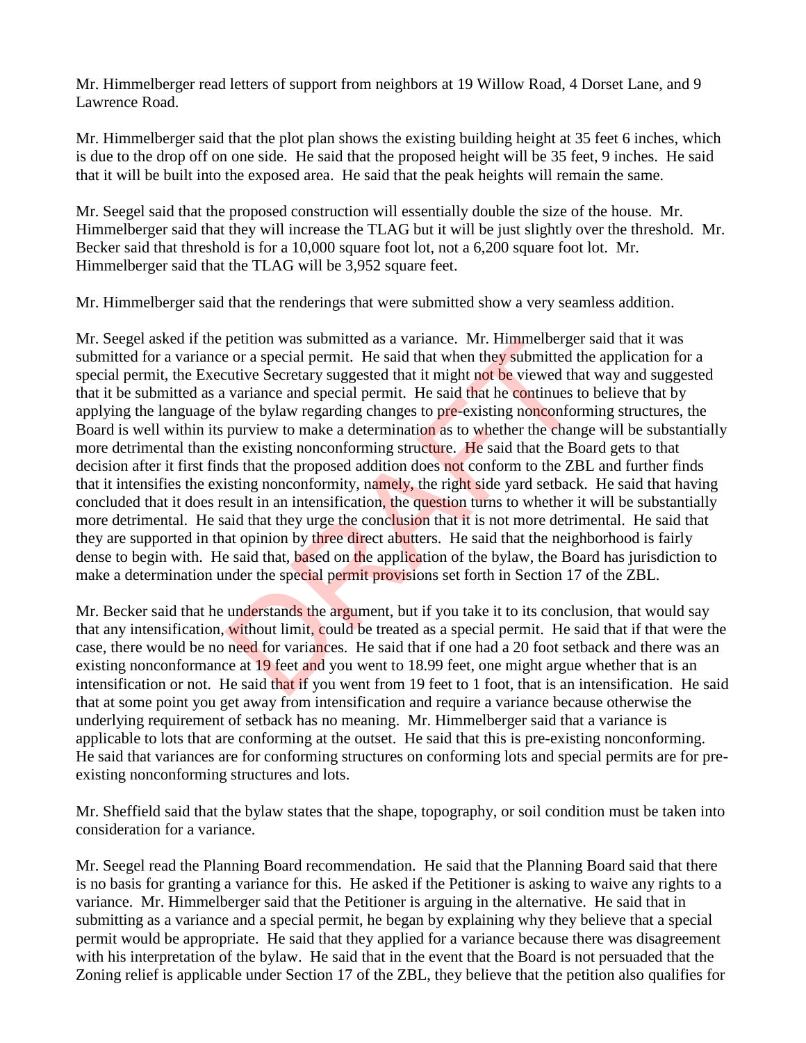Mr. Himmelberger read letters of support from neighbors at 19 Willow Road, 4 Dorset Lane, and 9 Lawrence Road.

Mr. Himmelberger said that the plot plan shows the existing building height at 35 feet 6 inches, which is due to the drop off on one side. He said that the proposed height will be 35 feet, 9 inches. He said that it will be built into the exposed area. He said that the peak heights will remain the same.

Mr. Seegel said that the proposed construction will essentially double the size of the house. Mr. Himmelberger said that they will increase the TLAG but it will be just slightly over the threshold. Mr. Becker said that threshold is for a 10,000 square foot lot, not a 6,200 square foot lot. Mr. Himmelberger said that the TLAG will be 3,952 square feet.

Mr. Himmelberger said that the renderings that were submitted show a very seamless addition.

Mr. Seegel asked if the petition was submitted as a variance. Mr. Himmelberger said that it was submitted for a variance or a special permit. He said that when they submitted the application for a special permit, the Executive Secretary suggested that it might not be viewed that way and suggested that it be submitted as a variance and special permit. He said that he continues to believe that by applying the language of the bylaw regarding changes to pre-existing nonconforming structures, the Board is well within its purview to make a determination as to whether the change will be substantially more detrimental than the existing nonconforming structure. He said that the Board gets to that decision after it first finds that the proposed addition does not conform to the ZBL and further finds that it intensifies the existing nonconformity, namely, the right side yard setback. He said that having concluded that it does result in an intensification, the question turns to whether it will be substantially more detrimental. He said that they urge the conclusion that it is not more detrimental. He said that they are supported in that opinion by three direct abutters. He said that the neighborhood is fairly dense to begin with. He said that, based on the application of the bylaw, the Board has jurisdiction to make a determination under the special permit provisions set forth in Section 17 of the ZBL. petition was submitted as a variance. Mr. Himmelberget<br>
e or a special permit. He said that when they submitted the<br>
utive Secretary suggested that it might not be viewed that<br>
variance and special permit. He said that he

Mr. Becker said that he understands the argument, but if you take it to its conclusion, that would say that any intensification, without limit, could be treated as a special permit. He said that if that were the case, there would be no need for variances. He said that if one had a 20 foot setback and there was an existing nonconformance at 19 feet and you went to 18.99 feet, one might argue whether that is an intensification or not. He said that if you went from 19 feet to 1 foot, that is an intensification. He said that at some point you get away from intensification and require a variance because otherwise the underlying requirement of setback has no meaning. Mr. Himmelberger said that a variance is applicable to lots that are conforming at the outset. He said that this is pre-existing nonconforming. He said that variances are for conforming structures on conforming lots and special permits are for preexisting nonconforming structures and lots.

Mr. Sheffield said that the bylaw states that the shape, topography, or soil condition must be taken into consideration for a variance.

Mr. Seegel read the Planning Board recommendation. He said that the Planning Board said that there is no basis for granting a variance for this. He asked if the Petitioner is asking to waive any rights to a variance. Mr. Himmelberger said that the Petitioner is arguing in the alternative. He said that in submitting as a variance and a special permit, he began by explaining why they believe that a special permit would be appropriate. He said that they applied for a variance because there was disagreement with his interpretation of the bylaw. He said that in the event that the Board is not persuaded that the Zoning relief is applicable under Section 17 of the ZBL, they believe that the petition also qualifies for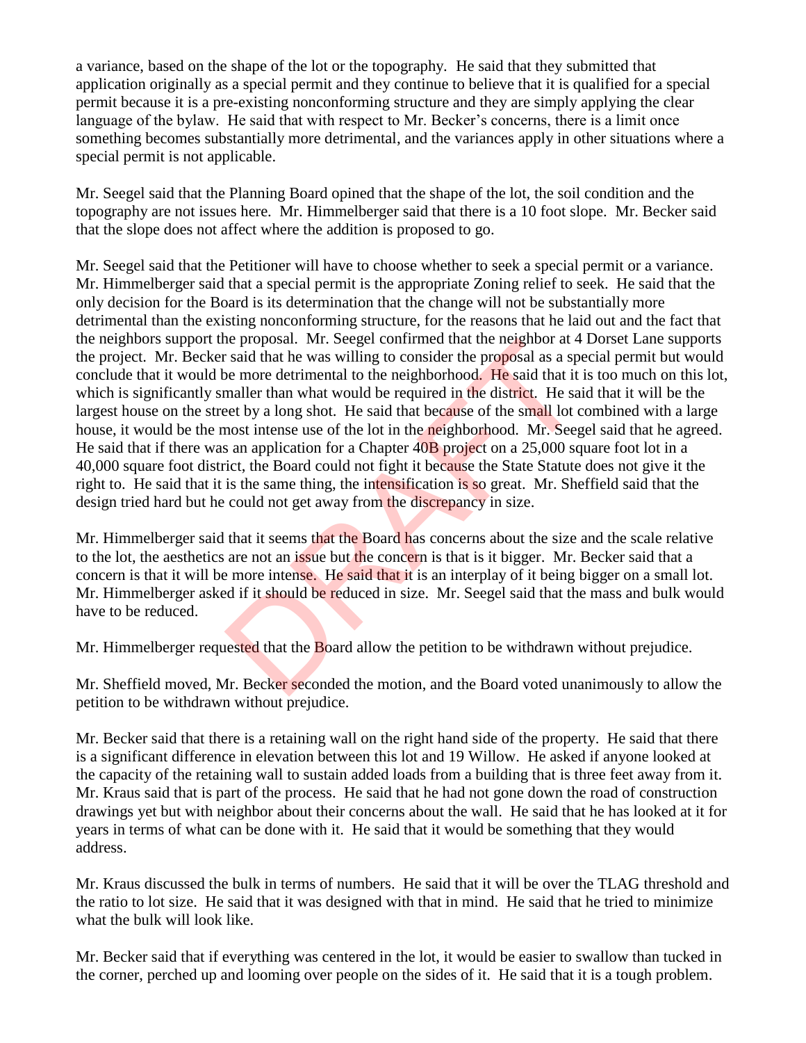a variance, based on the shape of the lot or the topography. He said that they submitted that application originally as a special permit and they continue to believe that it is qualified for a special permit because it is a pre-existing nonconforming structure and they are simply applying the clear language of the bylaw. He said that with respect to Mr. Becker's concerns, there is a limit once something becomes substantially more detrimental, and the variances apply in other situations where a special permit is not applicable.

Mr. Seegel said that the Planning Board opined that the shape of the lot, the soil condition and the topography are not issues here. Mr. Himmelberger said that there is a 10 foot slope. Mr. Becker said that the slope does not affect where the addition is proposed to go.

Mr. Seegel said that the Petitioner will have to choose whether to seek a special permit or a variance. Mr. Himmelberger said that a special permit is the appropriate Zoning relief to seek. He said that the only decision for the Board is its determination that the change will not be substantially more detrimental than the existing nonconforming structure, for the reasons that he laid out and the fact that the neighbors support the proposal. Mr. Seegel confirmed that the neighbor at 4 Dorset Lane supports the project. Mr. Becker said that he was willing to consider the proposal as a special permit but would conclude that it would be more detrimental to the neighborhood. He said that it is too much on this lot, which is significantly smaller than what would be required in the district. He said that it will be the largest house on the street by a long shot. He said that because of the small lot combined with a large house, it would be the most intense use of the lot in the neighborhood. Mr. Seegel said that he agreed. He said that if there was an application for a Chapter 40B project on a 25,000 square foot lot in a 40,000 square foot district, the Board could not fight it because the State Statute does not give it the right to. He said that it is the same thing, the intensification is so great. Mr. Sheffield said that the design tried hard but he could not get away from the discrepancy in size. if e proposal. Mr. Seeger continued that the neighbor at 4<br>
is said that he was willing to consider the proposal as a spe<br>
be more detrimental to the neighborhood. He said that it<br>
maller than what would be required in the

Mr. Himmelberger said that it seems that the Board has concerns about the size and the scale relative to the lot, the aesthetics are not an issue but the concern is that is it bigger. Mr. Becker said that a concern is that it will be more intense. He said that it is an interplay of it being bigger on a small lot. Mr. Himmelberger asked if it should be reduced in size. Mr. Seegel said that the mass and bulk would have to be reduced.

Mr. Himmelberger requested that the Board allow the petition to be withdrawn without prejudice.

Mr. Sheffield moved, Mr. Becker seconded the motion, and the Board voted unanimously to allow the petition to be withdrawn without prejudice.

Mr. Becker said that there is a retaining wall on the right hand side of the property. He said that there is a significant difference in elevation between this lot and 19 Willow. He asked if anyone looked at the capacity of the retaining wall to sustain added loads from a building that is three feet away from it. Mr. Kraus said that is part of the process. He said that he had not gone down the road of construction drawings yet but with neighbor about their concerns about the wall. He said that he has looked at it for years in terms of what can be done with it. He said that it would be something that they would address.

Mr. Kraus discussed the bulk in terms of numbers. He said that it will be over the TLAG threshold and the ratio to lot size. He said that it was designed with that in mind. He said that he tried to minimize what the bulk will look like.

Mr. Becker said that if everything was centered in the lot, it would be easier to swallow than tucked in the corner, perched up and looming over people on the sides of it. He said that it is a tough problem.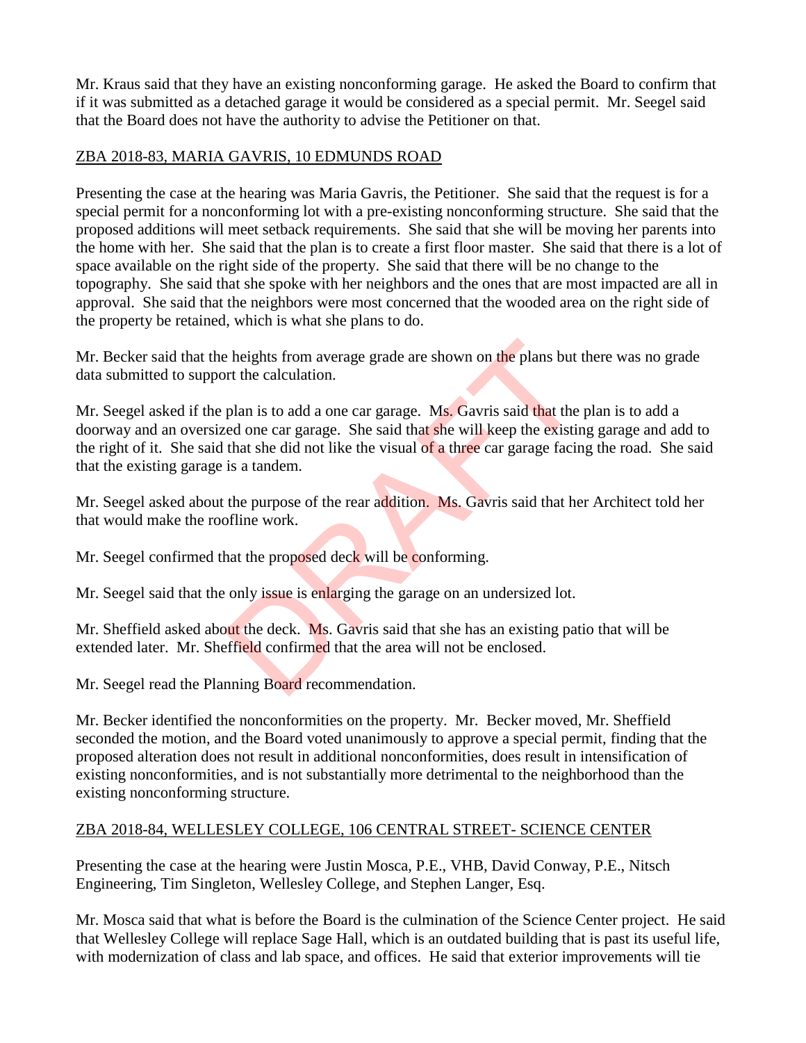Mr. Kraus said that they have an existing nonconforming garage. He asked the Board to confirm that if it was submitted as a detached garage it would be considered as a special permit. Mr. Seegel said that the Board does not have the authority to advise the Petitioner on that.

### ZBA 2018-83, MARIA GAVRIS, 10 EDMUNDS ROAD

Presenting the case at the hearing was Maria Gavris, the Petitioner. She said that the request is for a special permit for a nonconforming lot with a pre-existing nonconforming structure. She said that the proposed additions will meet setback requirements. She said that she will be moving her parents into the home with her. She said that the plan is to create a first floor master. She said that there is a lot of space available on the right side of the property. She said that there will be no change to the topography. She said that she spoke with her neighbors and the ones that are most impacted are all in approval. She said that the neighbors were most concerned that the wooded area on the right side of the property be retained, which is what she plans to do.

Mr. Becker said that the heights from average grade are shown on the plans but there was no grade data submitted to support the calculation.

Mr. Seegel asked if the plan is to add a one car garage. Ms. Gavris said that the plan is to add a doorway and an oversized one car garage. She said that she will keep the existing garage and add to the right of it. She said that she did not like the visual of a three car garage facing the road. She said that the existing garage is a tandem. Exercise to the plans but the calculation.<br>
plan is to add a one car garage. Ms. Gavris said that the eed one car garage. She said that she will keep the existin<br>
that she did not like the visual of a three car garage faci

Mr. Seegel asked about the purpose of the rear addition. Ms. Gavris said that her Architect told her that would make the roofline work.

Mr. Seegel confirmed that the proposed deck will be conforming.

Mr. Seegel said that the only issue is enlarging the garage on an undersized lot.

Mr. Sheffield asked about the deck. Ms. Gavris said that she has an existing patio that will be extended later. Mr. Sheffield confirmed that the area will not be enclosed.

Mr. Seegel read the Planning Board recommendation.

Mr. Becker identified the nonconformities on the property. Mr. Becker moved, Mr. Sheffield seconded the motion, and the Board voted unanimously to approve a special permit, finding that the proposed alteration does not result in additional nonconformities, does result in intensification of existing nonconformities, and is not substantially more detrimental to the neighborhood than the existing nonconforming structure.

### ZBA 2018-84, WELLESLEY COLLEGE, 106 CENTRAL STREET- SCIENCE CENTER

Presenting the case at the hearing were Justin Mosca, P.E., VHB, David Conway, P.E., Nitsch Engineering, Tim Singleton, Wellesley College, and Stephen Langer, Esq.

Mr. Mosca said that what is before the Board is the culmination of the Science Center project. He said that Wellesley College will replace Sage Hall, which is an outdated building that is past its useful life, with modernization of class and lab space, and offices. He said that exterior improvements will tie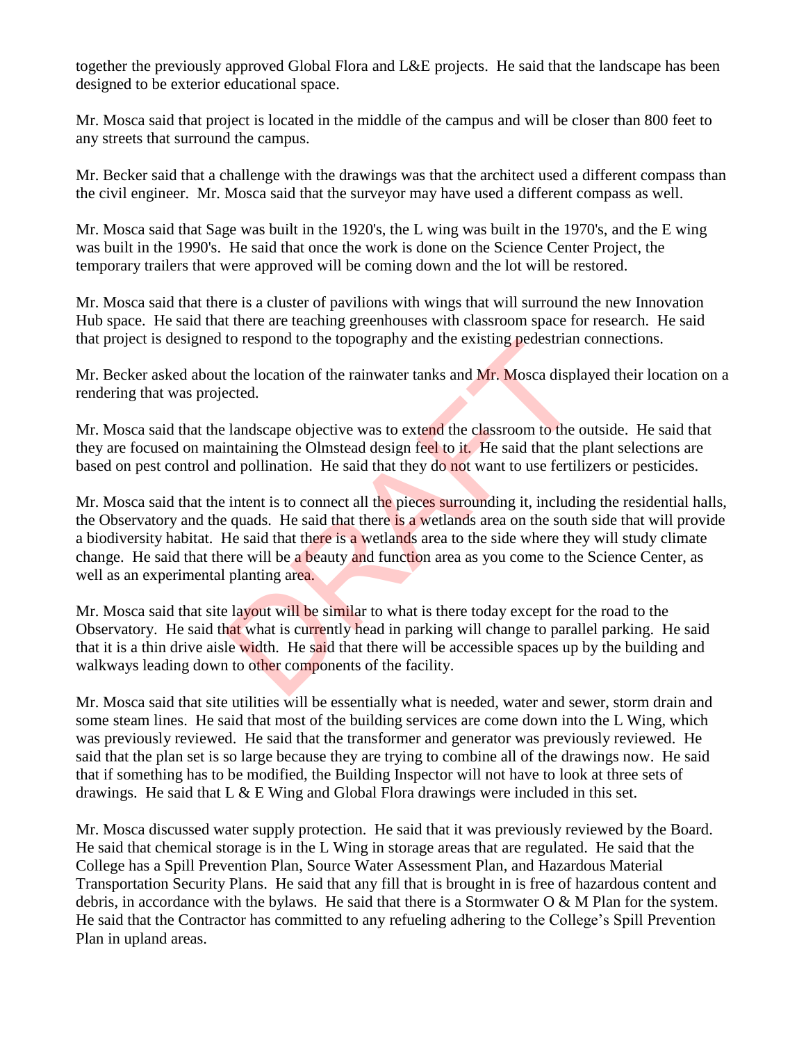together the previously approved Global Flora and L&E projects. He said that the landscape has been designed to be exterior educational space.

Mr. Mosca said that project is located in the middle of the campus and will be closer than 800 feet to any streets that surround the campus.

Mr. Becker said that a challenge with the drawings was that the architect used a different compass than the civil engineer. Mr. Mosca said that the surveyor may have used a different compass as well.

Mr. Mosca said that Sage was built in the 1920's, the L wing was built in the 1970's, and the E wing was built in the 1990's. He said that once the work is done on the Science Center Project, the temporary trailers that were approved will be coming down and the lot will be restored.

Mr. Mosca said that there is a cluster of pavilions with wings that will surround the new Innovation Hub space. He said that there are teaching greenhouses with classroom space for research. He said that project is designed to respond to the topography and the existing pedestrian connections.

Mr. Becker asked about the location of the rainwater tanks and Mr. Mosca displayed their location on a rendering that was projected.

Mr. Mosca said that the landscape objective was to extend the classroom to the outside. He said that they are focused on maintaining the Olmstead design feel to it. He said that the plant selections are based on pest control and pollination. He said that they do not want to use fertilizers or pesticides.

Mr. Mosca said that the intent is to connect all the pieces surrounding it, including the residential halls, the Observatory and the quads. He said that there is a wetlands area on the south side that will provide a biodiversity habitat. He said that there is a wetlands area to the side where they will study climate change. He said that there will be a beauty and function area as you come to the Science Center, as well as an experimental planting area. to respond to the topography and the existing pedestriant<br>the location of the rainwater tanks and Mr. Mosca displaceted.<br>landscape objective was to extend the classroom to the to-<br>intaining the Olmstead design feel to it.

Mr. Mosca said that site layout will be similar to what is there today except for the road to the Observatory. He said that what is currently head in parking will change to parallel parking. He said that it is a thin drive aisle width. He said that there will be accessible spaces up by the building and walkways leading down to other components of the facility.

Mr. Mosca said that site utilities will be essentially what is needed, water and sewer, storm drain and some steam lines. He said that most of the building services are come down into the L Wing, which was previously reviewed. He said that the transformer and generator was previously reviewed. He said that the plan set is so large because they are trying to combine all of the drawings now. He said that if something has to be modified, the Building Inspector will not have to look at three sets of drawings. He said that  $L \& E$  Wing and Global Flora drawings were included in this set.

Mr. Mosca discussed water supply protection. He said that it was previously reviewed by the Board. He said that chemical storage is in the L Wing in storage areas that are regulated. He said that the College has a Spill Prevention Plan, Source Water Assessment Plan, and Hazardous Material Transportation Security Plans. He said that any fill that is brought in is free of hazardous content and debris, in accordance with the bylaws. He said that there is a Stormwater O & M Plan for the system. He said that the Contractor has committed to any refueling adhering to the College's Spill Prevention Plan in upland areas.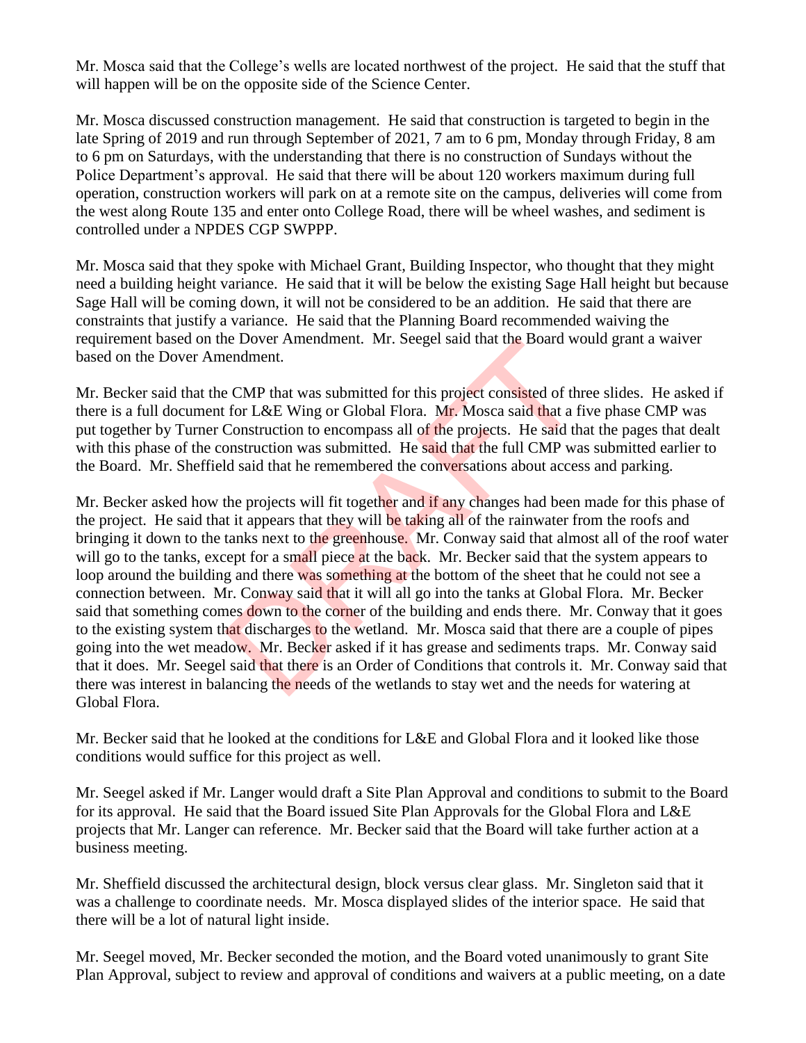Mr. Mosca said that the College's wells are located northwest of the project. He said that the stuff that will happen will be on the opposite side of the Science Center.

Mr. Mosca discussed construction management. He said that construction is targeted to begin in the late Spring of 2019 and run through September of 2021, 7 am to 6 pm, Monday through Friday, 8 am to 6 pm on Saturdays, with the understanding that there is no construction of Sundays without the Police Department's approval. He said that there will be about 120 workers maximum during full operation, construction workers will park on at a remote site on the campus, deliveries will come from the west along Route 135 and enter onto College Road, there will be wheel washes, and sediment is controlled under a NPDES CGP SWPPP.

Mr. Mosca said that they spoke with Michael Grant, Building Inspector, who thought that they might need a building height variance. He said that it will be below the existing Sage Hall height but because Sage Hall will be coming down, it will not be considered to be an addition. He said that there are constraints that justify a variance. He said that the Planning Board recommended waiving the requirement based on the Dover Amendment. Mr. Seegel said that the Board would grant a waiver based on the Dover Amendment.

Mr. Becker said that the CMP that was submitted for this project consisted of three slides. He asked if there is a full document for L&E Wing or Global Flora. Mr. Mosca said that a five phase CMP was put together by Turner Construction to encompass all of the projects. He said that the pages that dealt with this phase of the construction was submitted. He said that the full CMP was submitted earlier to the Board. Mr. Sheffield said that he remembered the conversations about access and parking.

Mr. Becker asked how the projects will fit together and if any changes had been made for this phase of the project. He said that it appears that they will be taking all of the rainwater from the roofs and bringing it down to the tanks next to the greenhouse. Mr. Conway said that almost all of the roof water will go to the tanks, except for a small piece at the back. Mr. Becker said that the system appears to loop around the building and there was something at the bottom of the sheet that he could not see a connection between. Mr. Conway said that it will all go into the tanks at Global Flora. Mr. Becker said that something comes down to the corner of the building and ends there. Mr. Conway that it goes to the existing system that discharges to the wetland. Mr. Mosca said that there are a couple of pipes going into the wet meadow. Mr. Becker asked if it has grease and sediments traps. Mr. Conway said that it does. Mr. Seegel said that there is an Order of Conditions that controls it. Mr. Conway said that there was interest in balancing the needs of the wetlands to stay wet and the needs for watering at Global Flora. e Dover Amenament. Mr. Seeger said that the Board we<br>endment.<br>CMP that was submitted for this project consisted of the<br>for L&E Wing or Global Flora. Mr. Mosca said that a f.<br>Construction to encompass all of the projects. H

Mr. Becker said that he looked at the conditions for L&E and Global Flora and it looked like those conditions would suffice for this project as well.

Mr. Seegel asked if Mr. Langer would draft a Site Plan Approval and conditions to submit to the Board for its approval. He said that the Board issued Site Plan Approvals for the Global Flora and L&E projects that Mr. Langer can reference. Mr. Becker said that the Board will take further action at a business meeting.

Mr. Sheffield discussed the architectural design, block versus clear glass. Mr. Singleton said that it was a challenge to coordinate needs. Mr. Mosca displayed slides of the interior space. He said that there will be a lot of natural light inside.

Mr. Seegel moved, Mr. Becker seconded the motion, and the Board voted unanimously to grant Site Plan Approval, subject to review and approval of conditions and waivers at a public meeting, on a date